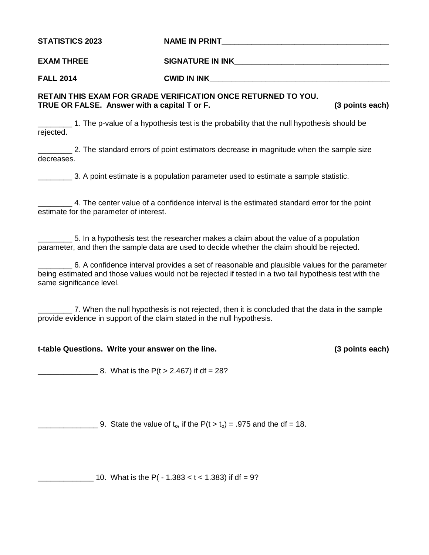STATISTICS 2023 NAME IN PRINT

**EXAM THREE SIGNATURE IN INK\_\_\_\_\_\_\_\_\_\_\_\_\_\_\_\_\_\_\_\_\_\_\_\_\_\_\_\_\_\_\_\_\_\_\_\_**

**FALL 2014 CWID IN INK\_\_\_\_\_\_\_\_\_\_\_\_\_\_\_\_\_\_\_\_\_\_\_\_\_\_\_\_\_\_\_\_\_\_\_\_\_\_\_\_\_\_**

**RETAIN THIS EXAM FOR GRADE VERIFICATION ONCE RETURNED TO YOU. TRUE OR FALSE. Answer with a capital T or F. (3 points each)**

\_\_\_\_\_\_\_\_ 1. The p-value of a hypothesis test is the probability that the null hypothesis should be rejected.

\_\_\_\_\_\_\_\_ 2. The standard errors of point estimators decrease in magnitude when the sample size decreases.

\_\_\_\_\_\_\_\_ 3. A point estimate is a population parameter used to estimate a sample statistic.

\_\_\_\_\_\_\_\_ 4. The center value of a confidence interval is the estimated standard error for the point estimate for the parameter of interest.

\_\_\_\_\_\_\_\_ 5. In a hypothesis test the researcher makes a claim about the value of a population parameter, and then the sample data are used to decide whether the claim should be rejected.

\_\_\_\_\_\_\_\_ 6. A confidence interval provides a set of reasonable and plausible values for the parameter being estimated and those values would not be rejected if tested in a two tail hypothesis test with the same significance level.

\_\_\_\_\_\_\_\_ 7. When the null hypothesis is not rejected, then it is concluded that the data in the sample provide evidence in support of the claim stated in the null hypothesis.

## **t-table Questions. Write your answer on the line. (3 points each)**

8. What is the  $P(t > 2.467)$  if df = 28?

9. State the value of  $t_0$ , if the  $P(t > t_0) = .975$  and the df = 18.

10. What is the P( - 1.383 < t < 1.383) if df = 9?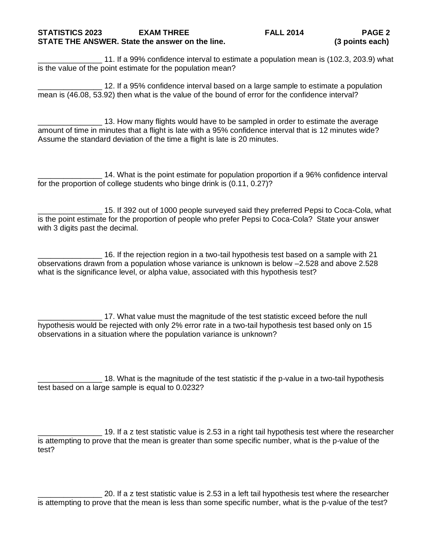## **STATISTICS 2023 EXAM THREE FALL 2014 PAGE 2 STATE THE ANSWER. State the answer on the line. (3 points each)**

\_\_\_\_\_\_\_\_\_\_\_\_\_\_\_ 11. If a 99% confidence interval to estimate a population mean is (102.3, 203.9) what is the value of the point estimate for the population mean?

12. If a 95% confidence interval based on a large sample to estimate a population mean is (46.08, 53.92) then what is the value of the bound of error for the confidence interval?

13. How many flights would have to be sampled in order to estimate the average amount of time in minutes that a flight is late with a 95% confidence interval that is 12 minutes wide? Assume the standard deviation of the time a flight is late is 20 minutes.

14. What is the point estimate for population proportion if a 96% confidence interval for the proportion of college students who binge drink is (0.11, 0.27)?

15. If 392 out of 1000 people surveyed said they preferred Pepsi to Coca-Cola, what is the point estimate for the proportion of people who prefer Pepsi to Coca-Cola? State your answer with 3 digits past the decimal.

\_\_\_\_\_\_\_\_\_\_\_\_\_\_\_ 16. If the rejection region in a two-tail hypothesis test based on a sample with 21 observations drawn from a population whose variance is unknown is below –2.528 and above 2.528 what is the significance level, or alpha value, associated with this hypothesis test?

\_\_\_\_\_\_\_\_\_\_\_\_\_\_\_ 17. What value must the magnitude of the test statistic exceed before the null hypothesis would be rejected with only 2% error rate in a two-tail hypothesis test based only on 15 observations in a situation where the population variance is unknown?

18. What is the magnitude of the test statistic if the p-value in a two-tail hypothesis test based on a large sample is equal to 0.0232?

\_\_\_\_\_\_\_\_\_\_\_\_\_\_\_ 19. If a z test statistic value is 2.53 in a right tail hypothesis test where the researcher is attempting to prove that the mean is greater than some specific number, what is the p-value of the test?

\_\_\_\_\_\_\_\_\_\_\_\_\_\_\_ 20. If a z test statistic value is 2.53 in a left tail hypothesis test where the researcher is attempting to prove that the mean is less than some specific number, what is the p-value of the test?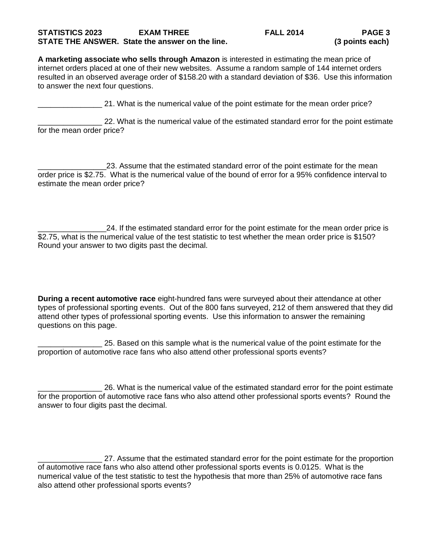## **STATISTICS 2023 EXAM THREE FALL 2014 PAGE 3 STATE THE ANSWER. State the answer on the line. (3 points each)**

**A marketing associate who sells through Amazon** is interested in estimating the mean price of internet orders placed at one of their new websites. Assume a random sample of 144 internet orders resulted in an observed average order of \$158.20 with a standard deviation of \$36. Use this information to answer the next four questions.

21. What is the numerical value of the point estimate for the mean order price?

22. What is the numerical value of the estimated standard error for the point estimate for the mean order price?

23. Assume that the estimated standard error of the point estimate for the mean order price is \$2.75. What is the numerical value of the bound of error for a 95% confidence interval to estimate the mean order price?

\_\_\_\_\_\_\_\_\_\_\_\_\_\_\_\_24. If the estimated standard error for the point estimate for the mean order price is \$2.75, what is the numerical value of the test statistic to test whether the mean order price is \$150? Round your answer to two digits past the decimal.

**During a recent automotive race** eight-hundred fans were surveyed about their attendance at other types of professional sporting events. Out of the 800 fans surveyed, 212 of them answered that they did attend other types of professional sporting events. Use this information to answer the remaining questions on this page.

25. Based on this sample what is the numerical value of the point estimate for the proportion of automotive race fans who also attend other professional sports events?

\_\_\_\_\_\_\_\_\_\_\_\_\_\_\_ 26. What is the numerical value of the estimated standard error for the point estimate for the proportion of automotive race fans who also attend other professional sports events? Round the answer to four digits past the decimal.

27. Assume that the estimated standard error for the point estimate for the proportion of automotive race fans who also attend other professional sports events is 0.0125. What is the numerical value of the test statistic to test the hypothesis that more than 25% of automotive race fans also attend other professional sports events?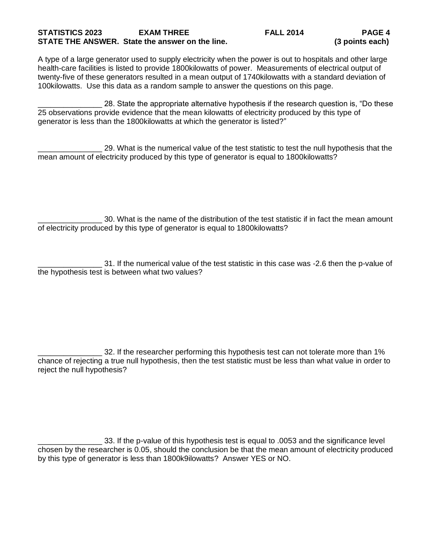## **STATISTICS 2023 EXAM THREE FALL 2014 PAGE 4 STATE THE ANSWER. State the answer on the line. (3 points each)**

A type of a large generator used to supply electricity when the power is out to hospitals and other large health-care facilities is listed to provide 1800kilowatts of power. Measurements of electrical output of twenty-five of these generators resulted in a mean output of 1740kilowatts with a standard deviation of 100kilowatts. Use this data as a random sample to answer the questions on this page.

28. State the appropriate alternative hypothesis if the research question is, "Do these 25 observations provide evidence that the mean kilowatts of electricity produced by this type of generator is less than the 1800kilowatts at which the generator is listed?"

\_\_\_\_\_\_\_\_\_\_\_\_\_\_\_ 29. What is the numerical value of the test statistic to test the null hypothesis that the mean amount of electricity produced by this type of generator is equal to 1800kilowatts?

\_\_\_\_\_\_\_\_\_\_\_\_\_\_\_ 30. What is the name of the distribution of the test statistic if in fact the mean amount of electricity produced by this type of generator is equal to 1800kilowatts?

\_\_\_\_\_\_\_\_\_\_\_\_\_\_\_ 31. If the numerical value of the test statistic in this case was -2.6 then the p-value of the hypothesis test is between what two values?

32. If the researcher performing this hypothesis test can not tolerate more than 1% chance of rejecting a true null hypothesis, then the test statistic must be less than what value in order to reject the null hypothesis?

\_\_\_\_\_\_\_\_\_\_\_\_\_\_\_ 33. If the p-value of this hypothesis test is equal to .0053 and the significance level chosen by the researcher is 0.05, should the conclusion be that the mean amount of electricity produced by this type of generator is less than 1800k9ilowatts? Answer YES or NO.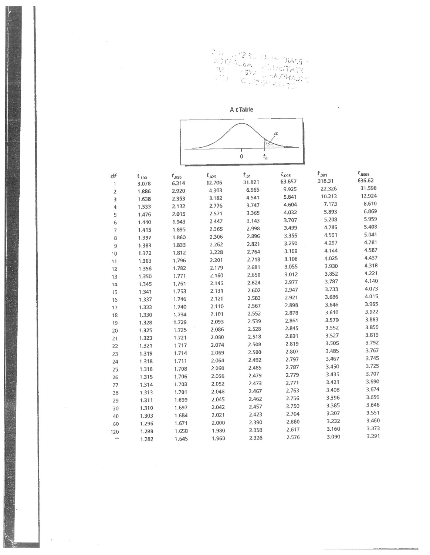AN 1980 PM SIAME-<br>ROMANA 1990 PM SIAME<br>THE COMPANY TO

 $\overline{\phantom{a}}$ 

A *t* Table  $\alpha$  $\pmb{0}$  $t_\alpha$ 

 $\mathbb{R}^n$  . In the  $\mathbb{R}^n$ 

 $\sim 2$ 

 $\omega$ 

 $\sim 0.1$ 

| df             | $t_{.100}$ | $t_{.050}$ | $t_{.025}$ | $t_{.01}$ | $t_{.005}$ | $t_{.001}$ | $t_{.0005}$ |
|----------------|------------|------------|------------|-----------|------------|------------|-------------|
| 1              | 3.078      | 6.314      | 12.706     | 31.821    | 63.657     | 318.31     | 636.62      |
| $\overline{2}$ | 1.886      | 2.920      | 4.303      | 6.965     | 9.925      | 22.326     | 31.598      |
| 3              | 1.638      | 2.353      | 3.182      | 4.541     | 5.841      | 10.213     | 12.924      |
| 4              | 1.533      | 2.132      | 2.776      | 3.747     | 4.604      | 7.173      | 8.610       |
| 5              | 1.476      | 2.015      | 2.571      | 3.365     | 4.032      | 5.893      | 6.869       |
| 6              | 1.440      | 1.943      | 2.447      | 3.143     | 3.707      | 5.208      | 5.959       |
| $\overline{7}$ | 1.415      | 1.895      | 2.365      | 2.998     | 3.499      | 4.785      | 5.408       |
| 8              | 1.397      | 1.860      | 2.306      | 2.896     | 3.355      | 4.501      | 5.041       |
| $\overline{9}$ | 1.383      | 1.833      | 2.262      | 2.821     | 3.250      | 4.297      | 4.781       |
| 10             | 1.372      | 1.812      | 2.228      | 2.764     | 3.169      | 4.144      | 4.587       |
| 11             | 1.363      | 1.796      | 2.201      | 2.718     | 3.106      | 4.025      | 4.437       |
| 12             | 1.356      | 1.782      | 2.179      | 2.681     | 3.055      | 3.930      | 4.318       |
| 13             | 1.350      | 1.771      | 2.160      | 2.650     | 3.012      | 3.852      | 4.221       |
| 14             | 1.345      | 1.761      | 2.145      | 2.624     | 2.977      | 3.787      | 4.140       |
| 15             | 1.341      | 1.753      | 2.131      | 2.602     | 2.947      | 3.733      | 4.073       |
| 16             | 1.337      | 1.746      | 2.120      | 2.583     | 2.921      | 3.686      | 4.015       |
| 17             | 1.333      | 1.740      | 2.110      | 2.567     | 2.898      | 3.646      | 3.965       |
| 18             | 1.330      | 1.734      | 2.101      | 2.552     | 2.878      | 3.610      | 3.922       |
| 19             | 1.328      | 1.729      | 2.093      | 2.539     | 2.861      | 3.579      | 3.883       |
| 20             | 1.325      | 1.725      | 2.086      | 2.528     | 2.845      | 3,552      | 3.850       |
| 21             | 1.323      | 1.721      | 2.080      | 2.518     | 2.831      | 3.527      | 3.819       |
| 22             | 1.321      | 1.717      | 2.074      | 2.508     | 2.819      | 3.505      | 3.792       |
| 23             | 1.319      | 1.714      | 2.069      | 2.500     | 2.807      | 3.485      | 3.767       |
| 24             | 1.318      | 1.711      | 2.064      | 2.492     | 2.797      | 3.467      | 3.745       |
| 25             | 1.316      | 1.708      | 2.060      | 2.485     | 2.787      | 3.450      | 3.725       |
| 26             | 1.315      | 1.706      | 2.056      | 2.479     | 2.779      | 3.435      | 3.707       |
| 27             | 1.314      | 1.703      | 2.052      | 2.473     | 2.771      | 3.421      | 3.690       |
| 28             | 1.313      | 1.701      | 2.048      | 2.467     | 2.763      | 3.408      | 3.674       |
| 29             | 1.311      | 1.699      | 2.045      | 2.462     | 2.756      | 3.396      | 3.659       |
| 30             | 1.310      | 1.697      | 2.042      | 2.457     | 2.750      | 3.385      | 3.646       |
| 40             | 1.303      | 1.684      | 2.021      | 2.423     | 2.704      | 3.307      | 3.551       |
| 60             | 1.296      | 1.671      | 2.000      | 2.390     | 2.660      | 3.232      | 3.460       |
| 120            | 1.289      | 1.658      | 1.980      | 2.358     | 2.617      | 3.160      | 3.373       |
| CO             | 1.282      | 1.645      | 1.960      | 2.326     | 2.576      | 3.090      | 3.291       |
|                |            |            |            |           |            |            |             |